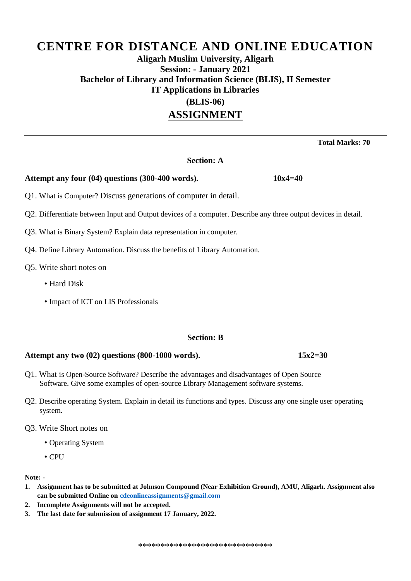### **Aligarh Muslim University, Aligarh Session: - January 2021 Bachelor of Library and Information Science (BLIS), II Semester IT Applications in Libraries (BLIS-06) ASSIGNMENT**

 **Total Marks: 70**

#### **Section: A**

#### **Attempt any four (04) questions (300-400 words). 10x4=40**

Q1. What is Computer? Discuss generations of computer in detail.

- Q2. Differentiate between Input and Output devices of a computer. Describe any three output devices in detail.
- Q3. What is Binary System? Explain data representation in computer.
- Q4. Define Library Automation. Discuss the benefits of Library Automation.
- Q5. Write short notes on
	- Hard Disk
	- Impact of ICT on LIS Professionals

#### **Section: B**

#### **Attempt any two (02) questions (800-1000 words). 15x2=30**

- Q1. What is Open-Source Software? Describe the advantages and disadvantages of Open Source Software. Give some examples of open-source Library Management software systems.
- Q2. Describe operating System. Explain in detail its functions and types. Discuss any one single user operating system.
- Q3. Write Short notes on
	- Operating System
	- CPU

#### **Note: -**

- **1. Assignment has to be submitted at Johnson Compound (Near Exhibition Ground), AMU, Aligarh. Assignment also can be submitted Online o[n cdeonlineassignments@gmail.com](mailto:cdeonlineassignments@gmail.com)**
- **2. Incomplete Assignments will not be accepted.**
- **3. The last date for submission of assignment 17 January, 2022.**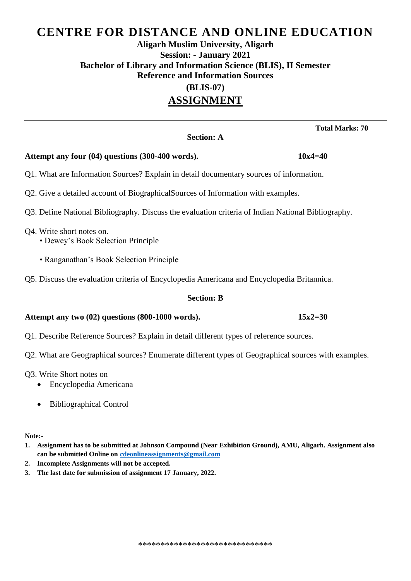## **Aligarh Muslim University, Aligarh Session: - January 2021 Bachelor of Library and Information Science (BLIS), II Semester Reference and Information Sources**

**(BLIS-07)** 

## **ASSIGNMENT**

#### **Section: A**

#### **Attempt any four (04) questions (300-400 words). 10x4=40**

Q1. What are Information Sources? Explain in detail documentary sources of information.

- Q2. Give a detailed account of BiographicalSources of Information with examples.
- Q3. Define National Bibliography. Discuss the evaluation criteria of Indian National Bibliography.

Q4. Write short notes on.

- Dewey's Book Selection Principle
- Ranganathan's Book Selection Principle
- Q5. Discuss the evaluation criteria of Encyclopedia Americana and Encyclopedia Britannica.

#### **Section: B**

#### **Attempt any two (02) questions (800-1000 words). 15x2=30**

- Q1. Describe Reference Sources? Explain in detail different types of reference sources.
- Q2. What are Geographical sources? Enumerate different types of Geographical sources with examples.
- Q3. Write Short notes on
	- Encyclopedia Americana
	- Bibliographical Control

**Note:-**

- **1. Assignment has to be submitted at Johnson Compound (Near Exhibition Ground), AMU, Aligarh. Assignment also can be submitted Online o[n cdeonlineassignments@gmail.com](mailto:cdeonlineassignments@gmail.com)**
- **2. Incomplete Assignments will not be accepted.**
- **3. The last date for submission of assignment 17 January, 2022.**

 **Total Marks: 70**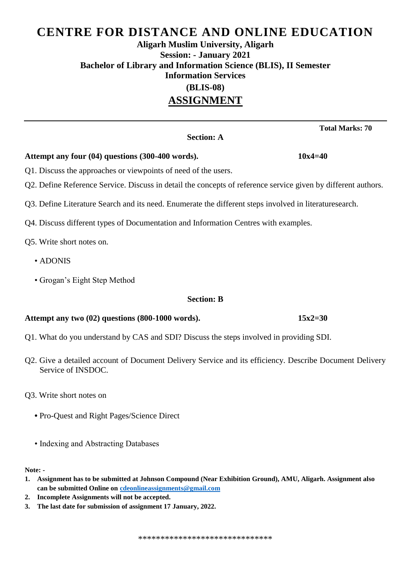## **Aligarh Muslim University, Aligarh Session: - January 2021 Bachelor of Library and Information Science (BLIS), II Semester Information Services (BLIS-08)**

## **ASSIGNMENT**

#### **Section: A**

#### **Attempt any four (04) questions (300-400 words). 10x4=40**

- Q1. Discuss the approaches or viewpoints of need of the users.
- Q2. Define Reference Service. Discuss in detail the concepts of reference service given by different authors.
- Q3. Define Literature Search and its need. Enumerate the different steps involved in literaturesearch.
- Q4. Discuss different types of Documentation and Information Centres with examples.

Q5. Write short notes on.

- ADONIS
- Grogan's Eight Step Method

#### **Section: B**

#### **Attempt any two (02) questions (800-1000 words). 15x2=30**

- Q1. What do you understand by CAS and SDI? Discuss the steps involved in providing SDI.
- Q2. Give a detailed account of Document Delivery Service and its efficiency. Describe Document Delivery Service of INSDOC.
- Q3. Write short notes on
	- Pro-Quest and Right Pages/Science Direct
	- Indexing and Abstracting Databases

**Note: -**

- **1. Assignment has to be submitted at Johnson Compound (Near Exhibition Ground), AMU, Aligarh. Assignment also can be submitted Online o[n cdeonlineassignments@gmail.com](mailto:cdeonlineassignments@gmail.com)**
- **2. Incomplete Assignments will not be accepted.**
- **3. The last date for submission of assignment 17 January, 2022.**

 **Total Marks: 70**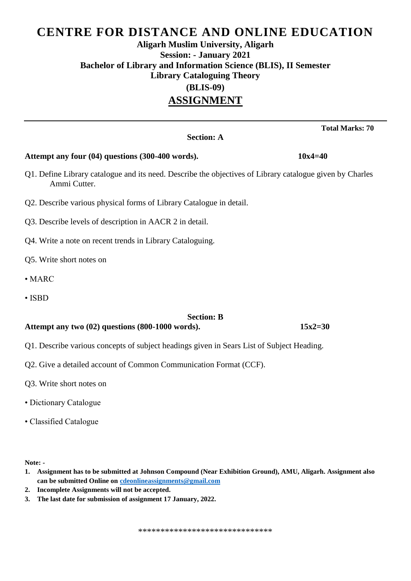## **Aligarh Muslim University, Aligarh Session: - January 2021 Bachelor of Library and Information Science (BLIS), II Semester Library Cataloguing Theory (BLIS-09)**

## **ASSIGNMENT**

**Section: A**

# **Attempt any four (04) questions (300-400 words). 10x4=40** Q1. Define Library catalogue and its need. Describe the objectives of Library catalogue given by Charles Ammi Cutter. Q2. Describe various physical forms of Library Catalogue in detail. Q3. Describe levels of description in AACR 2 in detail. Q4. Write a note on recent trends in Library Cataloguing. Q5. Write short notes on

- MARC
- ISBD

#### **Section: B**

#### **Attempt any two (02) questions (800-1000 words). 15x2=30**

- Q1. Describe various concepts of subject headings given in Sears List of Subject Heading.
- Q2. Give a detailed account of Common Communication Format (CCF).
- Q3. Write short notes on
- Dictionary Catalogue
- Classified Catalogue

**Note: -**

- **1. Assignment has to be submitted at Johnson Compound (Near Exhibition Ground), AMU, Aligarh. Assignment also can be submitted Online o[n cdeonlineassignments@gmail.com](mailto:cdeonlineassignments@gmail.com)**
- **2. Incomplete Assignments will not be accepted.**
- **3. The last date for submission of assignment 17 January, 2022.**

 **Total Marks: 70**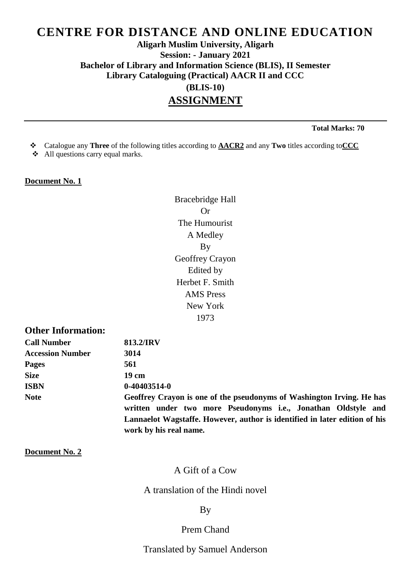## **Aligarh Muslim University, Aligarh Session: - January 2021 Bachelor of Library and Information Science (BLIS), II Semester Library Cataloguing (Practical) AACR II and CCC (BLIS-10)**

## **ASSIGNMENT**

 **Total Marks: 70**

- Catalogue any **Three** of the following titles according to **AACR2** and any **Two** titles according to**CCC**
- All questions carry equal marks.

#### **Document No. 1**

Bracebridge Hall Or The Humourist A Medley By Geoffrey Crayon Edited by Herbet F. Smith AMS Press New York 1973

### **Other Information:**

| <b>Call Number</b>      | 813.2/IRV                                                                                                                              |
|-------------------------|----------------------------------------------------------------------------------------------------------------------------------------|
| <b>Accession Number</b> | 3014                                                                                                                                   |
| <b>Pages</b>            | 561                                                                                                                                    |
| <b>Size</b>             | 19 cm                                                                                                                                  |
| <b>ISBN</b>             | $0-40403514-0$                                                                                                                         |
| <b>Note</b>             | Geoffrey Crayon is one of the pseudonyms of Washington Irving. He has<br>written under two more Pseudonyms i.e., Jonathan Oldstyle and |
|                         | Lannaelot Wagstaffe. However, author is identified in later edition of his                                                             |
|                         | work by his real name.                                                                                                                 |

#### **Document No. 2**

### A Gift of a Cow

#### A translation of the Hindi novel

#### By

#### Prem Chand

Translated by Samuel Anderson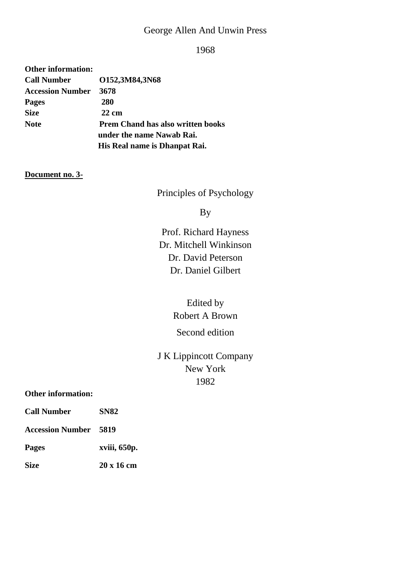## George Allen And Unwin Press

1968

| <b>Other information:</b> |                                          |  |
|---------------------------|------------------------------------------|--|
| <b>Call Number</b>        | O152,3M84,3N68                           |  |
| <b>Accession Number</b>   | 3678                                     |  |
| <b>Pages</b>              | 280                                      |  |
| <b>Size</b>               | $22 \text{ cm}$                          |  |
| <b>Note</b>               | <b>Prem Chand has also written books</b> |  |
|                           | under the name Nawab Rai.                |  |
|                           | His Real name is Dhanpat Rai.            |  |

#### **Document no. 3-**

Principles of Psychology

By

Prof. Richard Hayness Dr. Mitchell Winkinson Dr. David Peterson Dr. Daniel Gilbert

## Edited by Robert A Brown

## Second edition

## J K Lippincott Company New York 1982

#### **Other information:**

| <b>Call Number</b>           | <b>SN82</b>  |
|------------------------------|--------------|
| <b>Accession Number 5819</b> |              |
| Pages                        | xviii, 650p. |
| Size                         | 20 x 16 cm   |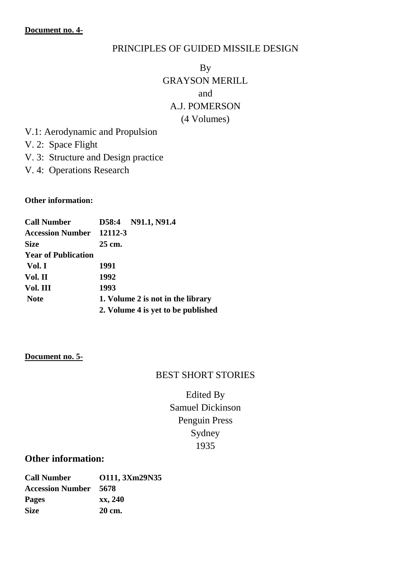### PRINCIPLES OF GUIDED MISSILE DESIGN

## By GRAYSON MERILL and A.J. POMERSON (4 Volumes)

- V.1: Aerodynamic and Propulsion
- V. 2: Space Flight
- V. 3: Structure and Design practice
- V. 4: Operations Research

#### **Other information:**

| <b>Call Number</b>              |                                    | D58:4 N91.1, N91.4 |  |
|---------------------------------|------------------------------------|--------------------|--|
| <b>Accession Number 12112-3</b> |                                    |                    |  |
| <b>Size</b>                     | 25 cm.                             |                    |  |
| <b>Year of Publication</b>      |                                    |                    |  |
| Vol. I                          | 1991                               |                    |  |
| Vol. II                         | 1992                               |                    |  |
| Vol. III                        | 1993                               |                    |  |
| <b>Note</b>                     | 1. Volume 2 is not in the library  |                    |  |
|                                 | 2. Volume 4 is yet to be published |                    |  |

#### **Document no. 5-**

#### BEST SHORT STORIES

Edited By Samuel Dickinson Penguin Press Sydney 1935

### **Other information:**

| 0111, 3Xm29N35                   |
|----------------------------------|
| <b>Accession Number</b><br>-5678 |
| xx, 240                          |
| 20 cm.                           |
|                                  |